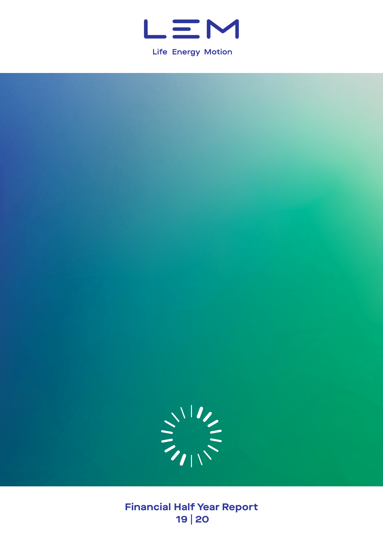

**Life Energy Motion** 



**Financial Half Year Report 19 | 20**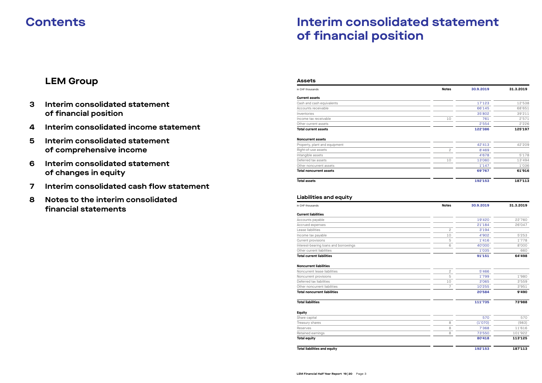# **Interim consolidated statement of financial position**

### **Assets**

# **Current assets**

| in CHF thousands                                  | <b>Notes</b>   | 30.9.2019 | 31.3.2019 |
|---------------------------------------------------|----------------|-----------|-----------|
| <b>Current assets</b>                             |                |           |           |
| Cash and cash equivalents                         |                | 17'123    | 12'538    |
| Accounts receivable                               |                | 66'145    | 68'651    |
| Inventories                                       |                | 35'802    | 39'211    |
| Income tax receivable                             | 10             | 761       | 2'571     |
| Other current assets                              |                | 2'554     | 2'226     |
| <b>Total current assets</b>                       |                | 122'386   | 125'197   |
| <b>Noncurrent assets</b>                          |                |           |           |
| Property, plant and equipment                     |                | 42'413    | 42'209    |
| Right-of-use assets                               | $\overline{c}$ | 8'469     |           |
| Intangible assets                                 |                | 4'678     | 5'178     |
| Deferred tax assets                               | 10             | 13'060    | 13'494    |
| Other noncurrent assets                           |                | 1'147     | 1'036     |
| <b>Total noncurrent assets</b>                    |                | 69'767    | 61'916    |
| <b>Total assets</b>                               |                | 192'153   | 187'113   |
| <b>Liabilities and equity</b><br>in CHF thousands | <b>Notes</b>   | 30.9.2019 | 31.3.2019 |
| <b>Current liabilities</b>                        |                |           |           |
| Accounts payable                                  |                | 19'420    | 22'760    |
| Accrued expenses                                  |                | 21'184    | 26'047    |
| Lease liabilities                                 | 2              | 3'194     |           |
| Income tax payable                                | 10             | 4'902     | 5'253     |
| Current provisions                                | 5              | 1'416     | 1'778     |
| Interest-bearing loans and borrowings             | 6              | 40'000    | 8'000     |
| Other current liabilities                         |                | 1'035     | 660       |
| <b>Total current liabilities</b>                  |                | 91'151    | 64'498    |
| <b>Noncurrent liabilities</b>                     |                |           |           |
| Noncurrent lease liabilities                      | $\mathbf{2}$   | 5'466     |           |

| CHF thousands                        | <b>Notes</b>   | 30.9.2019 | 31.3.2019 |
|--------------------------------------|----------------|-----------|-----------|
| Current assets                       |                |           |           |
| Cash and cash equivalents            |                | 17'123    | 12'538    |
| <b>Accounts receivable</b>           |                | 66'145    | 68'651    |
| nventories                           |                | 35'802    | 39'211    |
| ncome tax receivable                 | 10             | 761       | 2'571     |
| Other current assets                 |                | 2'554     | 2'226     |
| otal current assets                  |                | 122'386   | 125'197   |
| <b>Joncurrent assets</b>             |                |           |           |
| Property, plant and equipment        |                | 42'413    | 42'209    |
| Right-of-use assets                  | $\overline{c}$ | 8'469     |           |
| ntangible assets                     |                | 4'678     | 5'178     |
| Deferred tax assets                  | 10             | 13'060    | 13'494    |
| Other noncurrent assets              |                | 1'147     | 1'036     |
| Total noncurrent assets              |                | 69'767    | 61'916    |
| otal assets                          |                | 192'153   | 187'113   |
| Liabilities and equity               |                |           |           |
| CHF thousands                        | <b>Notes</b>   | 30.9.2019 | 31.3.2019 |
| Current liabilities                  |                |           |           |
| <b>Accounts payable</b>              |                | 19'420    | 22'760    |
| <b>Accrued expenses</b>              |                | 21'184    | 26'047    |
| ease liabilities                     | 2              | 3'194     |           |
| ncome tax payable                    | 10             | 4'902     | 5'253     |
| Current provisions                   | 5              | 1'416     | 1'778     |
| nterest-bearing loans and borrowings | 6              | 40'000    | 8'000     |
| Other current liabilities            |                | 1'035     | 660       |
| <b>Total current liabilities</b>     |                | 91'151    | 64'498    |
| <b>Noncurrent liabilities</b>        |                |           |           |
| <b>Noncurrent lease liabilities</b>  | $\overline{c}$ | 5'466     |           |

| <b>Total liabilities</b>            |    | 111'735 | 73'988 |
|-------------------------------------|----|---------|--------|
|                                     |    |         |        |
| <b>Total noncurrent liabilities</b> |    | 20'584  | 9'490  |
| Other noncurrent liabilities        |    | 10'255  | 3'951  |
| Deferred tax liabilities            | 10 | 3'065   | 3'559  |
| Noncurrent provisions               | b  | 1'799   | 1'980  |
| Noncurrent lease liabilities        |    | 5'466   |        |

### **Equity**

| -9-7                |         |         |
|---------------------|---------|---------|
| Share capital       | 570     | 570     |
| Treasury shares     | (1'070) | (983)   |
| Reserves            | 7'368   | 11'616  |
| Retained earnings   | 73'550  | 101'922 |
| <b>Total equity</b> | 80'418  | 113'125 |
|                     |         |         |

**Total liabilities and equity 192'153 187'113**

## **LEM Group**

- **3 Interim consolidated statement of financial position**
- **4 [Interim consolidated income statement](#page-4-0)**
- **5 Interim consolidated statement of comprehensive income**
- **6 Interim consolidated statement of changes in equity**
- **7 Interim consolidated cash flow statement**
- **8 Notes to the interim consolidated financial statements**

# **Contents**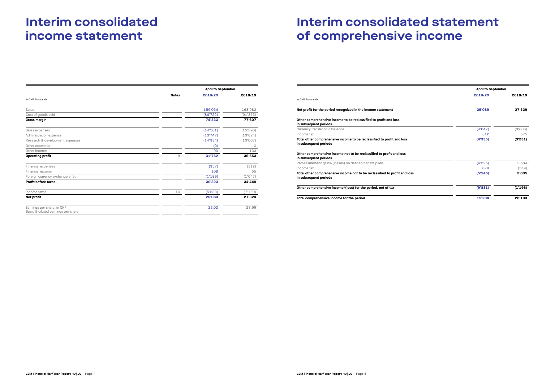# **Interim consolidated income statement**

|                                                                  |              | <b>April to September</b> |          |
|------------------------------------------------------------------|--------------|---------------------------|----------|
| in CHF thousands                                                 | <b>Notes</b> | 2019/20                   | 2018/19  |
|                                                                  |              |                           |          |
| Sales                                                            |              | 159'054                   | 168'982  |
| Cost of goods sold                                               |              | (84'722)                  | (91'375) |
| Gross margin                                                     |              | 74'333                    | 77'607   |
| Sales expenses                                                   |              | (14'581)                  | (15'296) |
| Administration expense                                           |              | (13'747)                  | (13'824) |
| Research & development expenses                                  |              | (14'334)                  | (13'067) |
| Other expenses                                                   |              | (0)                       | Ο        |
| Other income                                                     |              | 90                        | 133      |
| <b>Operating profit</b>                                          | 9            | 31'762                    | 35'553   |
| Financial expenses                                               |              | (357)                     | (112)    |
| Financial income                                                 |              | 108                       | 55       |
| Foreign currency exchange effet                                  |              | (1'189)                   | (1'047)  |
| <b>Profit before taxes</b>                                       |              | 30'323                    | 34'449   |
| Income taxes                                                     | 10           | (5'233)                   | (7'120)  |
| Net profit                                                       |              | 25'089                    | 27'329   |
| Earnings per share, in CHF<br>Basic & diluted earnings per share |              | 22.02                     | 23.99    |

# **Interim consolidated statement of comprehensive income**

|                                                                                                                                                                                                  | <b>April to September</b> |         |
|--------------------------------------------------------------------------------------------------------------------------------------------------------------------------------------------------|---------------------------|---------|
| in CHF thousands                                                                                                                                                                                 | 2019/20                   | 2018/19 |
| Net profit for the period recognized in the income statement                                                                                                                                     | 25'089                    | 27'329  |
| Other comprehensive income to be reclassified to profit and loss<br>in subsequent periods                                                                                                        |                           |         |
| Currency translation difference                                                                                                                                                                  | (4'647)                   | (3'806) |
| Income tax                                                                                                                                                                                       | 312                       | 575     |
| Total other comprehensive income to be reclassified to profit and loss<br>in subsequent periods<br>Other comprehensive income not to be reclassified to profit and loss<br>in subsequent periods | (4'335)                   | (3'231) |
| Remeasurement gains/(losses) on defined benefit plans                                                                                                                                            | (6'225)                   | 2'584   |
| Income tax                                                                                                                                                                                       | 679                       | (549)   |
| Total other comprehensive income not to be reclassified to profit and loss<br>in subsequent periods                                                                                              | (5'546)                   | 2'035   |
| Other comprehensive income/(loss) for the period, net of tax                                                                                                                                     | (9'881)                   | (1'196) |
| Total comprehensive income for the period                                                                                                                                                        | 15'208                    | 26'133  |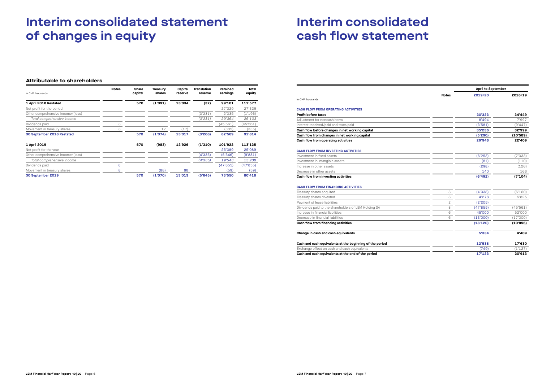# **Interim consolidated statement of changes in equity**

### **Attributable to shareholders**

| in CHF thousands                  | <b>Notes</b> | <b>Share</b><br>capital | <b>Treasury</b><br>shares | Capital<br>reserve | <b>Translation</b><br>reserve | Retained<br>earnings | Total<br>equity |
|-----------------------------------|--------------|-------------------------|---------------------------|--------------------|-------------------------------|----------------------|-----------------|
| 1 April 2018 Restated             |              | 570                     | (1'091)                   | 13'034             | (37)                          | 99'101               | 111'577         |
| Net profit for the period         |              |                         |                           |                    |                               | 27'329               | 27'329          |
| Other comprehensive income/(loss) |              |                         |                           |                    | (3'231)                       | 2'035                | (1'196)         |
| Total comprehensive income        |              |                         |                           |                    | (3'231)                       | 29'364               | 26'133          |
| Dividends paid                    | 8            |                         |                           |                    |                               | (45'561)             | (45'561)        |
| Movement in treasury shares       | 8            |                         | 17                        | (17)               |                               | (335)                | (335)           |
| 30 September 2018 Restated        |              | 570                     | (1'074)                   | 13'017             | (3'268)                       | 82'569               | 91'814          |
| 1 April 2019                      |              | 570                     | (983)                     | 12'926             | (1'310)                       | 101'922              | 113'125         |
| Net profit for the year           |              |                         |                           |                    |                               | 25'089               | 25'089          |
| Other comprehensive income/(loss) |              |                         |                           |                    | (4'335)                       | (5'546)              | (9'881)         |
| Total comprehensive income        |              |                         |                           |                    | (4'335)                       | 19'543               | 15'208          |
| Dividends paid                    | 8            |                         |                           |                    |                               | (47'855)             | (47'855)        |
| Movement in treasury shares       | 8            |                         | (88)                      | 88                 |                               | (59)                 | (59)            |
| 30 September 2019                 |              | 570                     | (1'070)                   | 13'013             | (5'645)                       | 73'550               | 80'418          |

# **Interim consolidated cash flow statement**

in CHF thousands

| Adjustment for noncash items                                             |                                               |
|--------------------------------------------------------------------------|-----------------------------------------------|
| Interest received/paid and taxes paid                                    |                                               |
| Cash flow before changes in net working capital                          |                                               |
|                                                                          | Cash flow from changes in net working capital |
|                                                                          |                                               |
| Cash flow from operating activities                                      |                                               |
| <b>CASH FLOW FROM INVESTING ACTIVITIES</b><br>Investment in fixed assets |                                               |
| Investment in intangible assets                                          |                                               |
| Increase in other assets                                                 |                                               |

|                                                          |              | <b>April to September</b> |          |
|----------------------------------------------------------|--------------|---------------------------|----------|
|                                                          | <b>Notes</b> | 2019/20                   | 2018/19  |
| in CHF thousands                                         |              |                           |          |
| <b>CASH FLOW FROM OPERATING ACTIVITIES</b>               |              |                           |          |
| <b>Profit before taxes</b>                               |              | 30'323                    | 34'449   |
| Adjustment for noncash items                             |              | 8'494                     | 7'997    |
| Interest received/paid and taxes paid                    |              | (3'581)                   | (9'447)  |
| Cash flow before changes in net working capital          |              | 35'236                    | 32'999   |
| Cash flow from changes in net working capital            |              | (5'290)                   | (10'589) |
| Cash flow from operating activities                      |              | 29'946                    | 22'409   |
| <b>CASH FLOW FROM INVESTING ACTIVITIES</b>               |              |                           |          |
| Investment in fixed assets                               |              | (6'253)                   | (7'033)  |
| Investment in intangible assets                          |              | (81)                      | (110)    |
| Increase in other assets                                 |              | (298)                     | (126)    |
| Decrease in other assets                                 |              | 140                       | 166      |
| Cash flow from investing activities                      |              | (6'492)                   | (7'104)  |
| <b>CASH FLOW FROM FINANCING ACTIVITIES</b>               |              |                           |          |
| Treasury shares acquired                                 | 8            | (4'338)                   | (6'160)  |
| Treasury shares divested                                 | 8            | 4'278                     | 5'825    |
| Payment of lease liabilities                             | 2            | (2'205)                   |          |
| Dividends paid to the shareholders of LEM Holding SA     | 8            | (47'855)                  | (45'561) |
| Increase in financial liabilities                        | 6            | 45'000                    | 52'000   |
| Decrease in financial liabilities                        | 6            | (13'000)                  | (17'000) |
| Cash flow from financing activities                      |              | (18'120)                  | (10'896) |
| Change in cash and cash equivalents                      |              | 5'334                     | 4'409    |
| Cash and cash equivalents at the beginning of the period |              | 12'538                    | 17'630   |
| Exchange effect on cash and cash equivalents             |              | (749)                     | (1'127)  |
| Cash and cash equivalents at the end of the period       |              | 17'123                    | 20'913   |

#### **CASH FLOW FROM FINANCING ACTIVITIES**

|   | (4'338)  |
|---|----------|
|   |          |
|   | 4'278    |
|   | (2'205)  |
|   | (47'855) |
| 6 | 45'000   |
| ൳ | (13'000) |
|   | (18'120) |
|   |          |

#### **Change in cash and cash equivalents**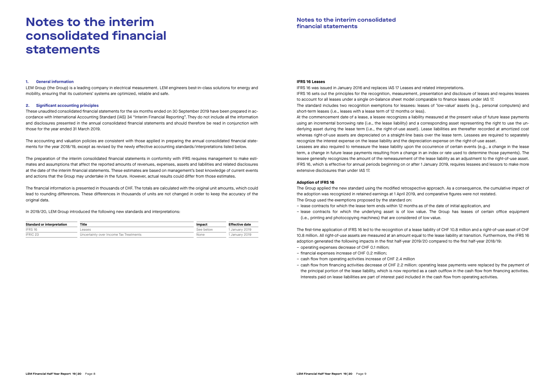# <span id="page-4-0"></span>**Notes to the interim consolidated financial statements**

### **1. General information**

LEM Group (the Group) is a leading company in electrical measurement. LEM engineers best-in-class solutions for energy and mobility, ensuring that its customers' systems are optimized, reliable and safe.

#### **2. Significant accounting principles**

These unaudited consolidated financial statements for the six months ended on 30 September 2019 have been prepared in accordance with International Accounting Standard (IAS) 34 "Interim Financial Reporting". They do not include all the information and disclosures presented in the annual consolidated financial statements and should therefore be read in conjunction with those for the year ended 31 March 2019.

The accounting and valuation policies are consistent with those applied in preparing the annual consolidated financial statements for the year 2018/19, except as revised by the newly effective accounting standards/interpretations listed below.

The preparation of the interim consolidated financial statements in conformity with IFRS requires management to make estimates and assumptions that affect the reported amounts of revenues, expenses, assets and liabilities and related disclosures at the date of the interim financial statements. These estimates are based on management's best knowledge of current events and actions that the Group may undertake in the future. However, actual results could differ from those estimates.

The financial information is presented in thousands of CHF. The totals are calculated with the original unit amounts, which could lead to rounding differences. These differences in thousands of units are not changed in order to keep the accuracy of the original data.

In 2019/20, LEM Group introduced the following new standards and interpretations:

| <b>Standard or interpretation</b> | Title                                  | Impact    | <b>Effective date</b> |
|-----------------------------------|----------------------------------------|-----------|-----------------------|
| IFRS 16                           | Leases                                 | See below | 1 January 2019        |
| IFRIC <sub>23</sub>               | Uncertainty over Income Tax Treatments | None      | 1 January 2019        |

#### **IFRS 16 Leases**

IFRS 16 was issued in January 2016 and replaces IAS 17 Leases and related interpretations. IFRS 16 sets out the principles for the recognition, measurement, presentation and disclosure of leases and requires lessees to account for all leases under a single on-balance sheet model comparable to finance leases under IAS 17. The standard includes two recognition exemptions for lessees: leases of 'low-value' assets (e.g., personal computers) and short-term leases (i.e., leases with a lease term of 12 months or less). At the commencement date of a lease, a lessee recognizes a liability measured at the present value of future lease payments using an incremental borrowing rate (i.e., the lease liability) and a corresponding asset representing the right to use the underlying asset during the lease term (i.e., the right-of-use asset). Lease liabilities are thereafter recorded at amortized cost whereas right-of-use assets are depreciated on a straight-line basis over the lease term. Lessees are required to separately recognize the interest expense on the lease liability and the depreciation expense on the right-of-use asset. Lessees are also required to remeasure the lease liability upon the occurrence of certain events (e.g., a change in the lease term, a change in future lease payments resulting from a change in an index or rate used to determine those payments). The lessee generally recognizes the amount of the remeasurement of the lease liability as an adjustment to the right-of-use asset. IFRS 16, which is effective for annual periods beginning on or after 1 January 2019, requires lessees and lessors to make more extensive disclosures than under IAS 17.

#### **Adoption of IFRS 16**

The Group applied the new standard using the modified retrospective approach. As a consequence, the cumulative impact of the adoption was recognized in retained earnings at 1 April 2019, and comparative figures were not restated. The Group used the exemptions proposed by the standard on:

– lease contracts for which the lease term ends within 12 months as of the date of initial application, and

– lease contracts for which the underlying asset is of low value. The Group has leases of certain office equipment

- 
- (i.e., printing and photocopying machines) that are considered of low value.

The first-time application of IFRS 16 led to the recognition of a lease liability of CHF 10.8 million and a right-of-use asset of CHF 10.8 million. All right-of-use assets are measured at an amount equal to the lease liability at transition. Furthermore, the IFRS 16 adoption generated the following impacts in the first half-year 2019/20 compared to the first half-year 2018/19:

- operating expenses decrease of CHF 0.1 million;
- financial expenses increase of CHF 0.2 million;
- cash flow from operating activities increase of CHF 2.4 million
- Interests paid on lease liabilities are part of interest paid included in the cash flow from operating activities.

– cash flow from financing activities decrease of CHF 2.2 million: operating lease payments were replaced by the payment of the principal portion of the lease liability, which is now reported as a cash outflow in the cash flow from financing activities.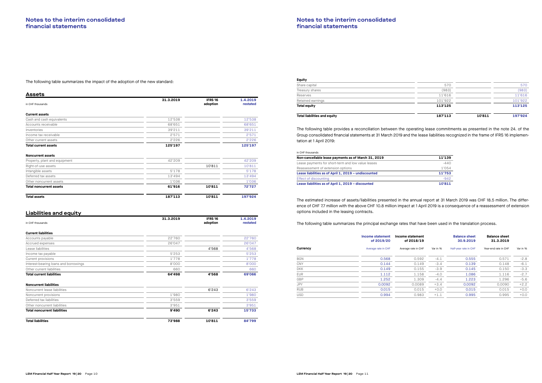The following table summarizes the impact of the adoption of the new standard:

| <b>Assets</b>                  |           |                            |                      |
|--------------------------------|-----------|----------------------------|----------------------|
| in CHF thousands               | 31.3.2019 | <b>IFRS 16</b><br>adoption | 1.4.2019<br>restated |
| <b>Current assets</b>          |           |                            |                      |
| Cash and cash equivalents      | 12'538    |                            | 12'538               |
| Accounts receivable            | 68'651    |                            | 68'651               |
| Inventories                    | 39'211    |                            | 39'211               |
| Income tax receivable          | 2'571     |                            | 2'571                |
| Other current assets           | 2'226     |                            | 2'226                |
| <b>Total current assets</b>    | 125'197   |                            | 125'197              |
| <b>Noncurrent assets</b>       |           |                            |                      |
| Property, plant and equipment  | 42'209    |                            | 42'209               |
| Right-of-use assets            |           | 10'811                     | 10'811               |
| Intangible assets              | 5'178     |                            | 5'178                |
| Deferred tax assets            | 13'494    |                            | 13'494               |
| Other noncurrent assets        | 1'036     |                            | 1'036                |
| <b>Total noncurrent assets</b> | 61'916    | 10'811                     | 72'727               |
| <b>Total assets</b>            | 187'113   | 10'811                     | 197'924              |

### **Liabilities and equity**

|                                       | 31.3.2019 | <b>IFRS 16</b> | 1.4.2019 |
|---------------------------------------|-----------|----------------|----------|
| in CHF thousands                      |           | adoption       | restated |
| <b>Current liabilities</b>            |           |                |          |
| Accounts payable                      | 22'760    |                | 22'760   |
| Accrued expenses                      | 26'047    |                | 26'047   |
| Lease liabilities                     |           | 4'568          | 4'568    |
| Income tax payable                    | 5'253     |                | 5'253    |
| Current provisions                    | 1'778     |                | 1'778    |
| Interest-bearing loans and borrowings | 8'000     |                | 8'000    |
| Other current liabilities             | 660       |                | 660      |
| <b>Total current liabilities</b>      | 64'498    | 4'568          | 69'066   |
| <b>Noncurrent liabilities</b>         |           |                |          |
| Noncurrent lease liabilities          |           | 6'243          | 6'243    |
| Noncurrent provisions                 | 1'980     |                | 1'980    |
| Deferred tax liabilities              | 3'559     |                | 3'559    |
| Other noncurrent liabilities          | 3'951     |                | 3'951    |
| <b>Total noncurrent liabilities</b>   | 9'490     | 6'243          | 15'733   |
| <b>Total liabilities</b>              | 73'988    | 10'811         | 84'799   |

| <b>Equity</b>                       |         |        |         |
|-------------------------------------|---------|--------|---------|
| Share capital                       | 570     |        | 570     |
| Treasury shares                     | (983)   |        | (983)   |
| Reserves                            | 11'616  |        | 11'616  |
| Retained earnings                   | 101'922 |        | 101'922 |
| <b>Total equity</b>                 | 113'125 |        | 113'125 |
| <b>Total liabilities and equity</b> | 187'113 | 10'811 | 197'924 |

The following table provides a reconciliation between the operating lease commitments as presented in the note 24. of the Group consolidated financial statements at 31 March 2019 and the lease liabilities recognized in the frame of IFRS 16 implementation at 1 April 2019:

#### in CHF thousands

| Non-cancellable lease payments as of March 31, 2019  | 11'139 |
|------------------------------------------------------|--------|
| Lease payments for short-term and low value leases   | $-440$ |
| Reassessment of extension options                    | 1'054  |
| Lease liabilities as of April 1, 2019 - undiscounted | 11'753 |
| <b>Effect of discounting</b>                         | $-942$ |
| Lease liabilities as of April 1, 2019 - discounted   | 10'811 |

The estimated increase of assets/liabilities presented in the annual report at 31 March 2019 was CHF 18.5 million. The difference of CHF 7.7 million with the above CHF 10.8 million impact at 1 April 2019 is a consequence of a reassessment of extension options included in the leasing contracts.

The following table summarizes the principal exchange rates that have been used in the translation process.

|            | Income statement<br>of 2019/20 | Income statement<br>of 2018/19 |          | <b>Balance sheet</b><br>30.9.2019 | <b>Balance sheet</b><br>31.3.2019 |          |
|------------|--------------------------------|--------------------------------|----------|-----------------------------------|-----------------------------------|----------|
| Currency   | Average rate in CHF            | Average rate in CHF            | Var in % | Half-year rate in CHF             | Year-end rate in CHF              | Var in % |
| <b>BGN</b> | 0.568                          | 0.592                          | $-4.1$   | 0.555                             | 0.571                             | $-2.8$   |
| <b>CNY</b> | 0.144                          | 0.149                          | $-3.4$   | 0.139                             | 0.148                             | $-6.1$   |
| <b>DKK</b> | 0.149                          | 0.155                          | $-3.9$   | 0.145                             | 0.150                             | $-3.3$   |
| <b>EUR</b> | 1.112                          | 1.158                          | $-4.0$   | 1.086                             | 1.116                             | $-2.7$   |
| GBP        | 1.252                          | 1.309                          | $-4.4$   | 1.223                             | 1.296                             | $-5.6$   |
| <b>JPY</b> | 0.0092                         | 0.0089                         | $+3.4$   | 0.0092                            | 0.0090                            | $+2.2$   |
| <b>RUB</b> | 0.015                          | 0.015                          | $+0.0$   | 0.015                             | 0.015                             | $+0.0$   |
| <b>USD</b> | 0.994                          | 0.983                          | $+1.1$   | 0.995                             | 0.995                             | $+0.0$   |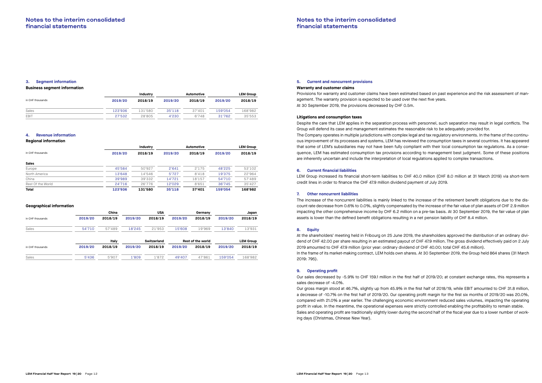### **3. Segment information**

#### **Business segment information**

|                  |         | Industry |         | Automotive |         | <b>LEM Group</b> |
|------------------|---------|----------|---------|------------|---------|------------------|
| in CHF thousands | 2019/20 | 2018/19  | 2019/20 | 2018/19    | 2019/20 | 2018/19          |
| Sales            | 123'936 | 131'580  | 35'118  | 37'401     | 159'054 | 168'982          |
| EBIT             | 27'532  | 28'805   | 4'230   | 6'748      | 31'762  | 35'553           |

#### **4. Revenue information**

#### **Regional information**

|                   |         | Industry |         | <b>Automotive</b> |         | <b>LEM Group</b> |
|-------------------|---------|----------|---------|-------------------|---------|------------------|
| in CHF thousands  | 2019/20 | 2018/19  | 2019/20 | 2018/19           | 2019/20 | 2018/19          |
| <b>Sales</b>      |         |          |         |                   |         |                  |
| Europe            | 45'584  | 50'927   | 2'641   | 2'175             | 48'225  | 53'102           |
| North America     | 13'648  | 14'546   | 5'727   | 8'418             | 19'375  | 22'964           |
| China             | 39'989  | 39'332   | 14'721  | 18'157            | 54'710  | 57'489           |
| Rest Of the World | 24'716  | 26'776   | 12'029  | 8'651             | 36'745  | 35'427           |
| <b>Total</b>      | 123'936 | 131'580  | 35'118  | 37'401            | 159'054 | 168'982          |

#### **Geographical information**

|                  |         | China   |         | <b>USA</b>  |         | Germany                  |         | Japan            |
|------------------|---------|---------|---------|-------------|---------|--------------------------|---------|------------------|
| in CHF thousands | 2019/20 | 2018/19 | 2019/20 | 2018/19     | 2019/20 | 2018/19                  | 2019/20 | 2018/19          |
| Sales            | 54'710  | 57'489  | 18'245  | 21'953      | 15'608  | 19'969                   | 13'840  | 13'931           |
|                  |         | Italy   |         | Switzerland |         | <b>Rest of the world</b> |         | <b>LEM Group</b> |
| in CHF thousands | 2019/20 | 2018/19 | 2019/20 | 2018/19     | 2019/20 | 2018/19                  | 2019/20 | 2018/19          |
| Sales            | 5'436   | 5'907   | 1'809   | 1'872       | 49'407  | 47'861                   | 159'054 | 168'982          |

### **5. Current and noncurrent provisions**

#### **Warranty and customer claims**

Provisions for warranty and customer claims have been estimated based on past experience and the risk assessment of management. The warranty provision is expected to be used over the next five years. At 30 September 2019, the provisions decreased by CHF 0.5m.

#### **Litigations and consumption taxes**

Despite the care that LEM applies in the separation process with personnel, such separation may result in legal conflicts. The Group will defend its case and management estimates the reasonable risk to be adequately provided for. The Company operates in multiple jurisdictions with complex legal and tax regulatory environments. In the frame of the continuous improvement of its processes and systems, LEM has reviewed the consumption taxes in several countries. It has appeared that some of LEM's subsidiaries may not have been fully compliant with their local consumption tax regulations. As a consequence, LEM has estimated consumption tax provisions according to management best judgment. Some of these positions are inherently uncertain and include the interpretation of local regulations applied to complex transactions.

#### **6. Current financial liabilities**

LEM Group increased its financial short-term liabilities to CHF 40.0 million (CHF 8.0 million at 31 March 2019) via short-term credit lines in order to finance the CHF 47.9 million dividend payment of July 2019.

#### **7. Other noncurrent liabilities**

The increase of the noncurrent liabilities is mainly linked to the increase of the retirement benefit obligations due to the discount rate decrease from 0.6% to 0.0%, slightly compensated by the increase of the fair value of plan assets of CHF 2.9 million impacting the other comprehensive income by CHF 6.2 million on a pre-tax basis. At 30 September 2019, the fair value of plan assets is lower than the defined benefit obligations resulting in a net pension liability of CHF 8.4 million.

#### **8. Equity**

At the shareholders' meeting held in Fribourg on 25 June 2019, the shareholders approved the distribution of an ordinary dividend of CHF 42.00 per share resulting in an estimated payout of CHF 47.9 million. The gross dividend effectively paid on 2 July 2019 amounted to CHF 47.9 million (prior year: ordinary dividend of CHF 40.00; total CHF 45.6 million). In the frame of its market-making contract, LEM holds own shares. At 30 September 2019, the Group held 864 shares (31 March 2019: 795).

#### **9. Operating profit**

Our sales decreased by -5.9% to CHF 159.1 million in the first half of 2019/20; at constant exchange rates, this represents a sales decrease of -4.0%.

Our gross margin stood at 46.7%, slightly up from 45.9% in the first half of 2018/19, while EBIT amounted to CHF 31.8 million, a decrease of -10.7% on the first half of 2019/20. Our operating profit margin for the first six months of 2019/20 was 20.0%, compared with 21.0% a year earlier. The challenging economic environment reduced sales volumes, impacting the operating profit in value. In the meantime, the operational expenses were strictly controlled enabling the profitability to remain stable. Sales and operating profit are traditionally slightly lower during the second half of the fiscal year due to a lower number of working days (Christmas, Chinese New Year).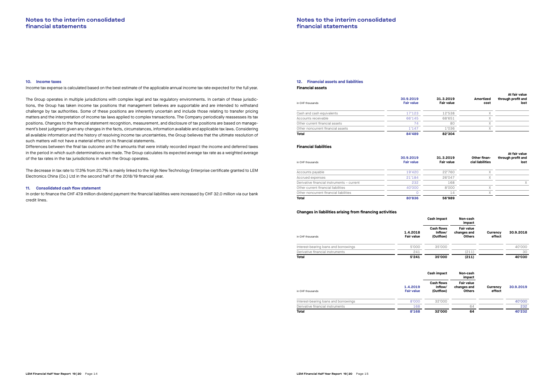#### **10. Income taxes**

Income tax expense is calculated based on the best estimate of the applicable annual income tax rate expected for the full year.

The Group operates in multiple jurisdictions with complex legal and tax regulatory environments. In certain of these jurisdictions, the Group has taken income tax positions that management believes are supportable and are intended to withstand challenge by tax authorities. Some of these positions are inherently uncertain and include those relating to transfer pricing matters and the interpretation of income tax laws applied to complex transactions. The Company periodically reassesses its tax positions. Changes to the financial statement recognition, measurement, and disclosure of tax positions are based on management's best judgment given any changes in the facts, circumstances, information available and applicable tax laws. Considering all available information and the history of resolving income tax uncertainties, the Group believes that the ultimate resolution of such matters will not have a material effect on its financial statements.

Differences between the final tax outcome and the amounts that were initially recorded impact the income and deferred taxes in the period in which such determinations are made. The Group calculates its expected average tax rate as a weighted average of the tax rates in the tax jurisdictions in which the Group operates.

The decrease in tax rate to 17.3% from 20.7% is mainly linked to the High New Technology Enterprise certificate granted to LEM Electronics China (Co.) Ltd in the second half of the 2018/19 financial year.

### **11. Consolidated cash flow statement**

In order to finance the CHF 47.9 million dividend payment the financial liabilities were increased by CHF 32.0 million via our bank credit lines.

### **12. Financial assets and liabilities Financial assets**

| in CHF thousands                  | 30.9.2019<br><b>Fair value</b> | 31.3.2019<br><b>Fair value</b> | Amortized<br>cost | At fair value<br>through profit and<br>lost |
|-----------------------------------|--------------------------------|--------------------------------|-------------------|---------------------------------------------|
| Cash and cash equivalents         | 17'123                         | 12'538                         |                   |                                             |
| Accounts receivable               | 66'145                         | 68'651                         |                   |                                             |
| Other current financial assets    | 74                             | 80                             | ν<br>Λ            |                                             |
| Other noncurrent financial assets | 1'147                          | 1'036                          | $\sqrt{}$         |                                             |
| <b>Total</b>                      | 84'489                         | 82'304                         |                   |                                             |

#### **Financial liabilities**

| 30.9.2019<br><b>Fair value</b> | 31.3.2019<br><b>Fair value</b> | Other finan-<br>cial liabilities | At fair value<br>through profit and<br>lost |
|--------------------------------|--------------------------------|----------------------------------|---------------------------------------------|
| 19'420                         | 22'760                         | Χ                                |                                             |
| 21'184                         | 26'047                         | Χ                                |                                             |
| 232                            | 168                            |                                  |                                             |
| 40'000                         | 8'000                          | v                                |                                             |
|                                | 14                             | Χ                                |                                             |
| 80'836                         | 56'989                         |                                  |                                             |
|                                |                                |                                  |                                             |

#### **Changes in liabilities arising from financing activities**

|                                       |                               | Cash impact                               | Non-cash<br>impact                                |                    |           |
|---------------------------------------|-------------------------------|-------------------------------------------|---------------------------------------------------|--------------------|-----------|
| in CHF thousands                      | 1.4.2018<br><b>Fair value</b> | <b>Cash flows</b><br>Inflow/<br>(Outflow) | <b>Fair value</b><br>changes and<br><b>Others</b> | Currency<br>effect | 30.9.2018 |
| Interest-bearing loans and borrowings | 5'000                         | 35'000                                    |                                                   |                    | 40'000    |
| Derivative financial instruments      | 241                           |                                           | (211)                                             |                    | 30        |
| <b>Total</b>                          | 5'241                         | 35'000                                    | (211)                                             |                    | 40'030    |
|                                       |                               | Cash impact                               | Non-cash<br>impact                                |                    |           |
| in CHF thousands                      | 1.4.2019<br><b>Fair value</b> | <b>Cash flows</b><br>Inflow/<br>(Outflow) | <b>Fair value</b><br>changes and<br><b>Others</b> | Currency<br>effect | 30.9.2019 |
| Interest-bearing loans and borrowings | 8'000                         | 32'000                                    |                                                   |                    | 40'000    |
| Derivative financial instruments      | 168                           |                                           | 64                                                |                    | 232       |
|                                       |                               |                                           |                                                   |                    |           |

|                                       |                               | Cash impact                               | Non-cash<br>impact                                |                           |           |
|---------------------------------------|-------------------------------|-------------------------------------------|---------------------------------------------------|---------------------------|-----------|
| in CHF thousands                      | 1.4.2018<br><b>Fair value</b> | <b>Cash flows</b><br>Inflow/<br>(Outflow) | Fair value<br>changes and<br><b>Others</b>        | <b>Currency</b><br>effect | 30.9.2018 |
| Interest-bearing loans and borrowings | 5'000                         | 35'000                                    |                                                   |                           | 40'000    |
| Derivative financial instruments      | 241                           |                                           | (211)                                             |                           | 30        |
| <b>Total</b>                          | 5'241                         | 35'000                                    | (211)                                             |                           | 40'030    |
|                                       |                               | Cash impact                               | Non-cash<br>impact                                |                           |           |
| in CHF thousands                      | 1.4.2019<br><b>Fair value</b> | <b>Cash flows</b><br>Inflow/<br>(Outflow) | <b>Fair value</b><br>changes and<br><b>Others</b> | Currency<br>effect        | 30.9.2019 |
| Interest-bearing loans and borrowings | 8'000                         | 32'000                                    |                                                   |                           | 40'000    |
| Derivative financial instruments      | 168                           |                                           | 64                                                |                           | 232       |
| <b>Total</b>                          | 8'168                         | 32'000                                    | 64                                                |                           | 40'232    |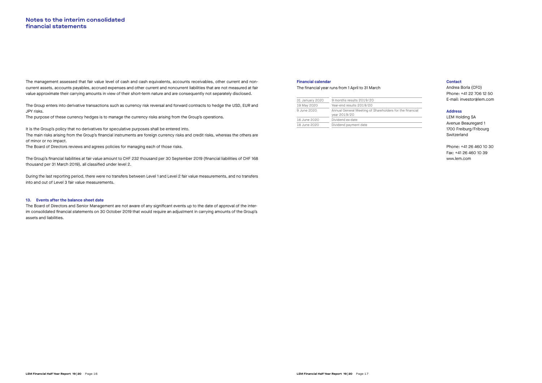The management assessed that fair value level of cash and cash equivalents, accounts receivables, other current and noncurrent assets, accounts payables, accrued expenses and other current and noncurrent liabilities that are not measured at fair value approximate their carrying amounts in view of their short-term nature and are consequently not separately disclosed.

The Group enters into derivative transactions such as currency risk reversal and forward contracts to hedge the USD, EUR and JPY risks.

The purpose of these currency hedges is to manage the currency risks arising from the Group's operations.

It is the Group's policy that no derivatives for speculative purposes shall be entered into.

The main risks arising from the Group's financial instruments are foreign currency risks and credit risks, whereas the others are of minor or no impact.

The Board of Directors reviews and agrees policies for managing each of those risks.

The Group's financial liabilities at fair value amount to CHF 232 thousand per 30 September 2019 (financial liabilities of CHF 168 thousand per 31 March 2019), all classified under level 2.

During the last reporting period, there were no transfers between Level 1 and Level 2 fair value measurements, and no transfers into and out of Level 3 fair value measurements.

### **13. Events after the balance sheet date**

The Board of Directors and Senior Management are not aware of any significant events up to the date of approval of the interim consolidated financial statements on 30 October 2019 that would require an adjustment in carrying amounts of the Group's assets and liabilities.

#### **Contact**

Andrea Borla (CFO) Phone: +41 22 706 12 50 E-mail: investor@lem.com

#### **Address**

LEM Holding SA Avenue Beauregard 1 1700 Freiburg/Fribourg Switzerland

Phone: +41 26 460 10 30 Fax: +41 26 460 10 39 www.lem.com

#### **Financial calendar**

#### The financial year runs from 1 April to 31 March

| 31 January 2020 | 9 months results 2019/20                                                 |
|-----------------|--------------------------------------------------------------------------|
| 19 May 2020     | Year-end results 2019/20                                                 |
| 9 June 2020     | Annual General Meeting of Shareholders for the financial<br>year 2019/20 |
| 16 June 2020    | Dividend ex-date                                                         |
| 18 June 2020    | Dividend payment date                                                    |